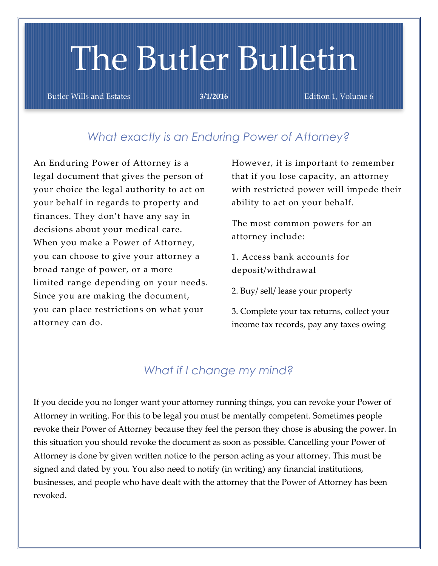# The Butler Bulletin

Butler Wills and Estates **3/1/2016 Edition 1, Volume 6 Butler Wills** and Estates

### *What exactly is an Enduring Power of Attorney?*

An Enduring Power of Attorney is a legal document that gives the person of your choice the legal authority to act on your behalf in regards to property and finances. They don't have any say in decisions about your medical care. When you make a Power of Attorney, you can choose to give your attorney a broad range of power, or a more limited range depending on your needs. Since you are making the document, you can place restrictions on what your attorney can do.

However, it is important to remember that if you lose capacity, an attorney with restricted power will impede their ability to act on your behalf.

The most common powers for an attorney include:

1. Access bank accounts for deposit/withdrawal

2. Buy/ sell/ lease your property

3. Complete your tax returns, collect your income tax records, pay any taxes owing

## *What if I change my mind?*

If you decide you no longer want your attorney running things, you can revoke your Power of Attorney in writing. For this to be legal you must be mentally competent. Sometimes people revoke their Power of Attorney because they feel the person they chose is abusing the power. In this situation you should revoke the document as soon as possible. Cancelling your Power of Attorney is done by given written notice to the person acting as your attorney. This must be signed and dated by you. You also need to notify (in writing) any financial institutions, businesses, and people who have dealt with the attorney that the Power of Attorney has been revoked.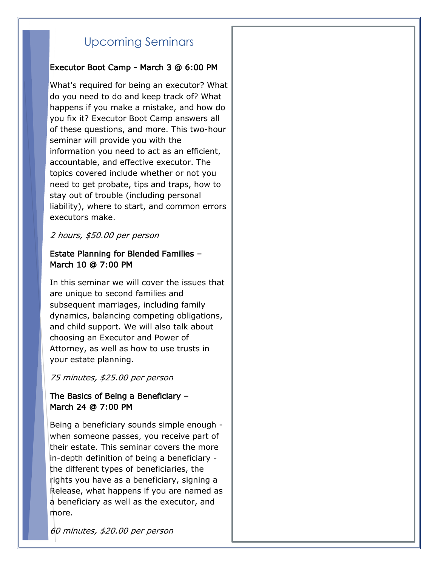# Upcoming Seminars

#### Executor Boot Camp - March 3 @ 6:00 PM

What's required for being an executor? What do you need to do and keep track of? What happens if you make a mistake, and how do you fix it? Executor Boot Camp answers all of these questions, and more. This two-hour seminar will provide you with the information you need to act as an efficient, accountable, and effective executor. The topics covered include whether or not you need to get probate, tips and traps, how to stay out of trouble (including personal liability), where to start, and common errors executors make.

#### 2 hours, \$50.00 per person

#### Estate Planning for Blended Families – March 10 @ 7:00 PM

In this seminar we will cover the issues that are unique to second families and subsequent marriages, including family dynamics, balancing competing obligations, and child support. We will also talk about choosing an Executor and Power of Attorney, as well as how to use trusts in your estate planning.

#### 75 minutes, \$25.00 per person

#### The Basics of Being a Beneficiary – March 24 @ 7:00 PM

Being a beneficiary sounds simple enough when someone passes, you receive part of their estate. This seminar covers the more in-depth definition of being a beneficiary the different types of beneficiaries, the rights you have as a beneficiary, signing a Release, what happens if you are named as a beneficiary as well as the executor, and more.

60 minutes, \$20.00 per person